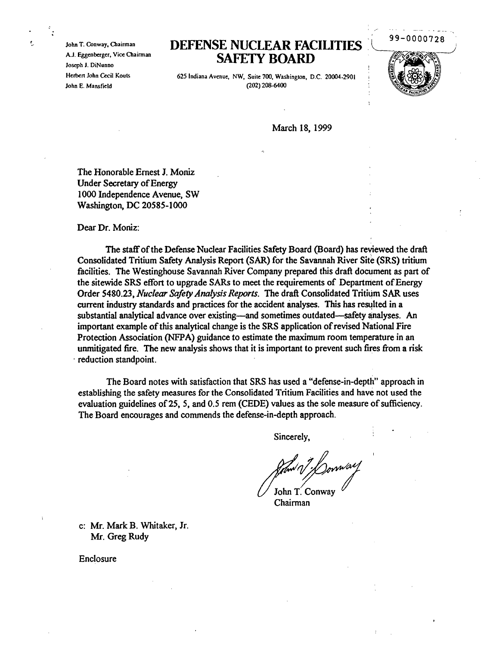John T. Conway, Chairman A.J. Eggenberger, Vice Chairman Joseph J. DiNunno Herben John Cecil Kouts John E. Mansfield

## **DEFENSE NUCLEAR FACILITIES SAFETY BOARD**

625 Indiana Avenue, NW, Suite 700, Washington, D.C. 20004-2901 (202) 208-6400

99-0000728

March 18, 1999

The Honorable Ernest 1. Moniz Under Secretary of Energy 1000 Independence Avenue, SW Washington, DC 20585-1000

Dear Dr. Moniz:

The staff of the Defense Nuclear Facilities Safety Board (Board) has reviewed the draft Consolidated Tritium Safety Analysis Report (SAR) for the Savannah River Site (SRS) tritium facilities. The Westinghouse Savannah River Company prepared this draft document as part of the sitewide SRS effort to upgrade SARs to meet the requirements of Department of Energy Order 5480.23, *Nuclear Safety Analysis Reports.* The draft Consolidated Tritium SAR uses current industry standards and practices for the accident analyses. This has resulted in a substantial analytical advance over existing—and sometimes outdated—safety analyses. An important example ofthis analytical change is the SRS application ofrevised National Fire Protection Association (NFPA) guidance to estimate the maximum room temperature in an unmitigated fire. The new analysis shows that it is important to prevent such fires from a risk reduction standpoint.

The Board notes with satisfaction that SRS has used a "defense-in-depth" approach in establishing the safety measures for the Consolidated Tritium Facilities and have not used the evaluation guidelines of 25, 5, and 0.5 rem (CEDE) values as the sole measure of sufficiency. The Board encourages and commends the defense-in-depth approach.

Sincerely,

John T. Conway

Chairman

c: Mr. Mark B. Whitaker, Jr. Mr. Greg Rudy

Enclosure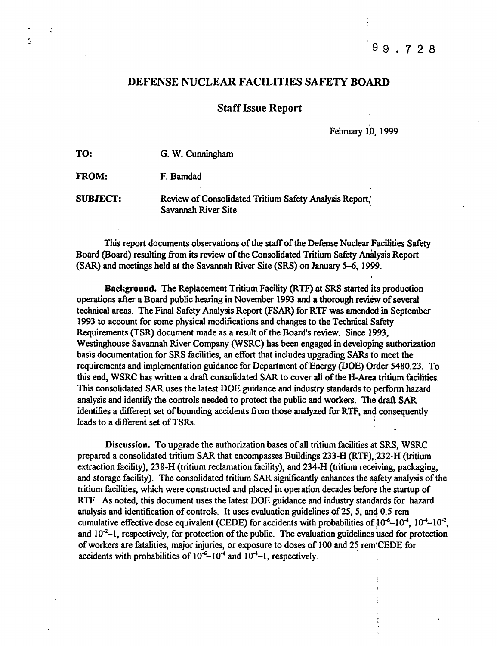$199.728$ 

## DEFENSE NUCLEAR FACILITIES SAFETY BOARD

Staff Issue Report

February 10, 1999

| TO:             | G. W. Cunningham                                                              |
|-----------------|-------------------------------------------------------------------------------|
| <b>FROM:</b>    | F. Bamdad                                                                     |
| <b>SUBJECT:</b> | Review of Consolidated Tritium Safety Analysis Report,<br>Savannah River Site |

'.

This report documents observations of the staff of the Defense Nuclear Facilities Safety Board (Board) resulting from its review of the Consolidated Tritium Safety Analysis Report (SAR) and meetings held at the Savannah River Site (SRS) on January 5-6, 1999.

Background. The Replacement Tritium Facility (RTF) at SRS started its production operations after a Board public hearing in November 1993 and a thorough review of several technical areas. The Final Safety Analysis Report (FSAR) for RTF was amended in September 1993 to account for some physical modifications and changes to the Technical Safety Requirements (TSR) document made as a result of the Board's review. Since 1993, Westinghouse Savannah River Company (WSRC) has been engaged in developing authorization basis documentation for SRS facilities, an effort that includes upgrading SARs to meet the requirements and implementation guidance for Department of Energy (DOE) Order 5480.23. To this end, WSRC has written a draft consolidated SAR to cover all ofthe H-Area tritium facilities. This consolidated SAR uses the latest DOE guidance and industry standards to perform hazard analysis and identify the controls needed to protect the public and workers. The draft SAR identifies a different set of bounding accidents from those analyzed for RTF, and consequently leads to a different set of TSRs.

Discussion. To upgrade the authorization bases of all tritium facilities at SRS, WSRC prepared a consolidated tritium SAR that encompasses Buildings 233-H (RTF),;232-H (tritium extraction facility), 238-H (tritium reclamation facility), and 234-H (tritium receiving, packaging, and storage facility). The consolidated tritium SAR significantly enhances the safety analysis of the tritium facilities, which were constructed and placed in operation decades before the startup of RTF. As noted, this document uses the latest DOE guidance and industry standards for hazard analysis and identification of controls. It uses evaluation guidelines of 25, 5, and 0.5 rem cumulative effective dose equivalent (CEDE) for accidents with probabilities of  $10^{-6}$ – $10^{-4}$ ,  $10^{-4}$ – $10^{-2}$ , and 10<sup>-2</sup>-1, respectively, for protection of the public. The evaluation guidelines used for protection of workers are fatalities, major injuries, or exposure to doses of 100 and 25 rem CEDE for accidents with probabilities of  $10^{-6}$ -10<sup>-4</sup> and  $10^{-4}$ -1, respectively.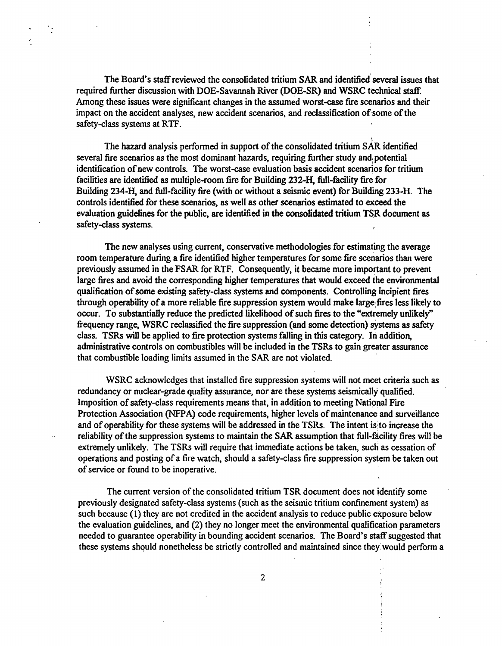The Board's staffreviewed the consolidated tritium SAR and identified'several issues that required further discussion with DOE-Savannah River (DOE-SR) and WSRC technical staff Among these issues were significant changes in the assumed worst-case fire scenarios and their impact on the accident analyses, new accident scenarios, and reclassification of some of the safety-class systems at RTF.

The hazard analysis performed in support of the consolidated tritium  $SAR$  identified several fire scenarios as the most dominant hazards, requiring further study and potential identification of new controls. The worst-case evaluation basis accident scenarios for tritium facilities are identified as multiple-room fire for Building 232-H, full-facility fire for Building 234-H, and full-facility fire (with or without a seismic event) for Building 233-H. The controls identified for these scenarios, as well as other scenarios estimated to exceed the evaluation guidelines for the public, are identified in the consolidated tritium TSR document as safety-class systems.

The new analyses using current, conservative methodologies for estimating the average room temperature during a fire identified higher temperatures for some fire scenarios than were previously assumed in the FSAR for RTF. Consequently, it became more important to prevent large fires and avoid the corresponding higher temperatures that would exceed the environmental qualification of some existing safety-class systems and components. Controlling incipient fires through operability of a more reliable fire suppression system would make large fires less likely to occur. To substantially reduce the predicted likelihood of such fires to the "extremely unlikely" frequency range, WSRC reclassified the fire suppression (and some detection) systems as safety class. TSRs will be applied to fire protection systems falling in this category. In addition, administrative controls on combustibles will be included in the TSRs to gain greater assurance that combustible loading limits assumed in the SAR are not violated.

WSRC acknowledges that installed fire suppression systems will not meet criteria such as redundancy or nuclear-grade quality assurance, nor are these systems seismically qualified. Imposition of safety-class requirements means that, in addition to meeting National Fire Protection Association (NFPA) code requirements, higher levels of maintenance and surveillance and of operability for these systems will be addressed in the TSRs. The intent is to increase the reliability of the suppression systems to maintain the SAR assumption that full-facility fires will be extremely unlikely. The TSRs will require that immediate actions be taken, such as cessation of operations and posting of a fire watch, should a safety-class fire suppression system be taken out of service or found to be inoperative.

The current version of the consolidated tritium TSR document does not identify some previously designated safety-class systems (such as the seismic tritium confinement system) as such because (1) they are not credited in the accident analysis to reduce public exposure below the evaluation guidelines, and (2) they no longer meet the environmental qualification parameters needed to guarantee operability in bounding accident scenarios. The Board's staff suggested that these systems should nonetheless be strictly controlled and maintained since they would perform a